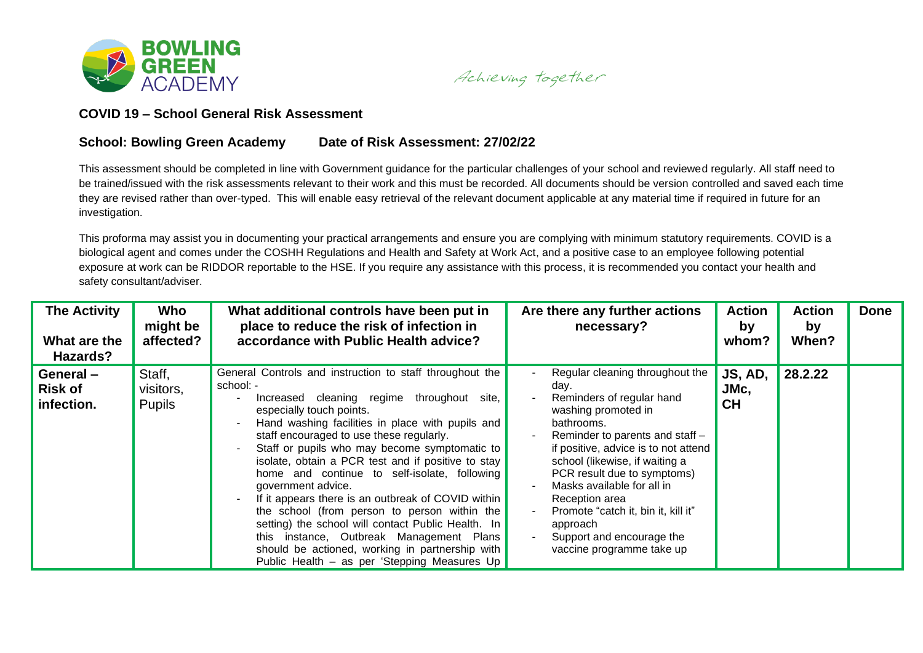

Achieving together

## **COVID 19 – School General Risk Assessment**

## **School: Bowling Green Academy Date of Risk Assessment: 27/02/22**

This assessment should be completed in line with Government guidance for the particular challenges of your school and reviewed regularly. All staff need to be trained/issued with the risk assessments relevant to their work and this must be recorded. All documents should be version controlled and saved each time they are revised rather than over-typed. This will enable easy retrieval of the relevant document applicable at any material time if required in future for an investigation.

This proforma may assist you in documenting your practical arrangements and ensure you are complying with minimum statutory requirements. COVID is a biological agent and comes under the COSHH Regulations and Health and Safety at Work Act, and a positive case to an employee following potential exposure at work can be RIDDOR reportable to the HSE. If you require any assistance with this process, it is recommended you contact your health and safety consultant/adviser.

| <b>The Activity</b><br>What are the<br>Hazards? | Who<br>might be<br>affected?         | What additional controls have been put in<br>place to reduce the risk of infection in<br>accordance with Public Health advice?                                                                                                                                                                                                                                                                                                                                                                                                                                                                                                                                                                                                             | Are there any further actions<br>necessary?                                                                                                                                                                                                                                                                                                                                                                        | <b>Action</b><br>by<br>whom? | <b>Action</b><br>by<br>When? | <b>Done</b> |
|-------------------------------------------------|--------------------------------------|--------------------------------------------------------------------------------------------------------------------------------------------------------------------------------------------------------------------------------------------------------------------------------------------------------------------------------------------------------------------------------------------------------------------------------------------------------------------------------------------------------------------------------------------------------------------------------------------------------------------------------------------------------------------------------------------------------------------------------------------|--------------------------------------------------------------------------------------------------------------------------------------------------------------------------------------------------------------------------------------------------------------------------------------------------------------------------------------------------------------------------------------------------------------------|------------------------------|------------------------------|-------------|
| General-<br><b>Risk of</b><br>infection.        | Staff,<br>visitors,<br><b>Pupils</b> | General Controls and instruction to staff throughout the<br>school: -<br>Increased cleaning regime throughout<br>site,<br>especially touch points.<br>Hand washing facilities in place with pupils and<br>staff encouraged to use these regularly.<br>Staff or pupils who may become symptomatic to<br>isolate, obtain a PCR test and if positive to stay<br>home and continue to self-isolate, following<br>government advice.<br>If it appears there is an outbreak of COVID within<br>the school (from person to person within the<br>setting) the school will contact Public Health. In<br>this instance, Outbreak Management Plans<br>should be actioned, working in partnership with<br>Public Health - as per 'Stepping Measures Up | Regular cleaning throughout the<br>day.<br>Reminders of regular hand<br>washing promoted in<br>bathrooms.<br>Reminder to parents and staff -<br>if positive, advice is to not attend<br>school (likewise, if waiting a<br>PCR result due to symptoms)<br>Masks available for all in<br>Reception area<br>Promote "catch it, bin it, kill it"<br>approach<br>Support and encourage the<br>vaccine programme take up | JS, AD,<br>JMc,<br><b>CH</b> | 28.2.22                      |             |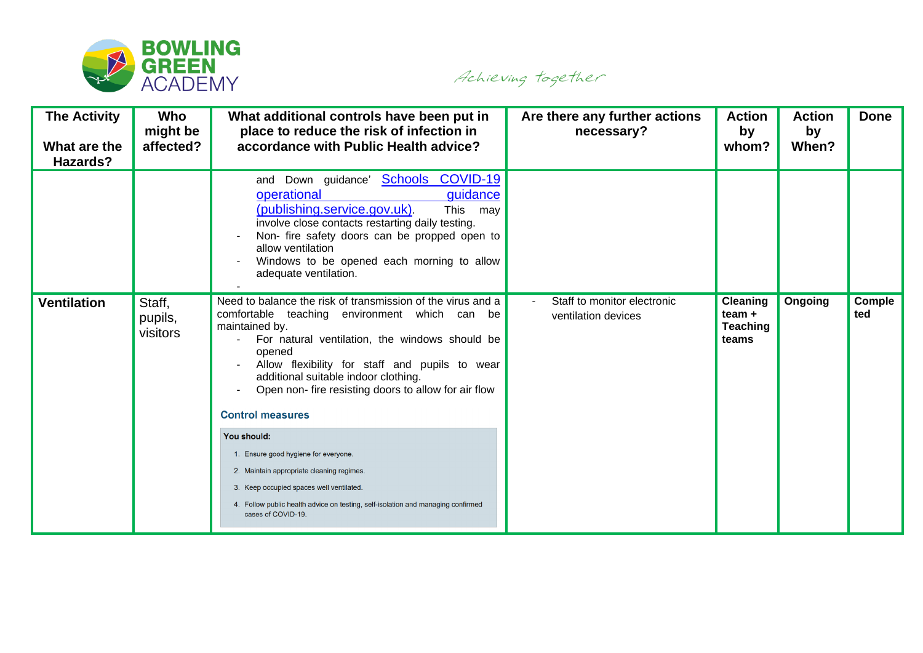

Achieving together

| <b>The Activity</b><br>What are the<br>Hazards? | Who<br>might be<br>affected?  | What additional controls have been put in<br>place to reduce the risk of infection in<br>accordance with Public Health advice?                                                                                                                                                                                                                                                                                                                                                                                                                                                                              | Are there any further actions<br>necessary?        | <b>Action</b><br>by<br>whom?                            | <b>Action</b><br>by<br>When? | <b>Done</b>   |
|-------------------------------------------------|-------------------------------|-------------------------------------------------------------------------------------------------------------------------------------------------------------------------------------------------------------------------------------------------------------------------------------------------------------------------------------------------------------------------------------------------------------------------------------------------------------------------------------------------------------------------------------------------------------------------------------------------------------|----------------------------------------------------|---------------------------------------------------------|------------------------------|---------------|
|                                                 |                               | and Down guidance' <b>Schools COVID-19</b><br>operational<br>guidance<br>(publishing.service.gov.uk)<br>This<br>may<br>involve close contacts restarting daily testing.<br>Non- fire safety doors can be propped open to<br>allow ventilation<br>Windows to be opened each morning to allow<br>adequate ventilation.                                                                                                                                                                                                                                                                                        |                                                    |                                                         |                              |               |
| <b>Ventilation</b>                              | Staff,<br>pupils,<br>visitors | Need to balance the risk of transmission of the virus and a<br>comfortable teaching environment which can be<br>maintained by.<br>For natural ventilation, the windows should be<br>opened<br>Allow flexibility for staff and pupils to wear<br>additional suitable indoor clothing.<br>Open non- fire resisting doors to allow for air flow<br><b>Control measures</b><br>You should:<br>1. Ensure good hygiene for everyone.<br>2. Maintain appropriate cleaning regimes.<br>3. Keep occupied spaces well ventilated.<br>4. Follow public health advice on testing, self-isolation and managing confirmed | Staff to monitor electronic<br>ventilation devices | <b>Cleaning</b><br>team $+$<br><b>Teaching</b><br>teams | Ongoing                      | Comple<br>ted |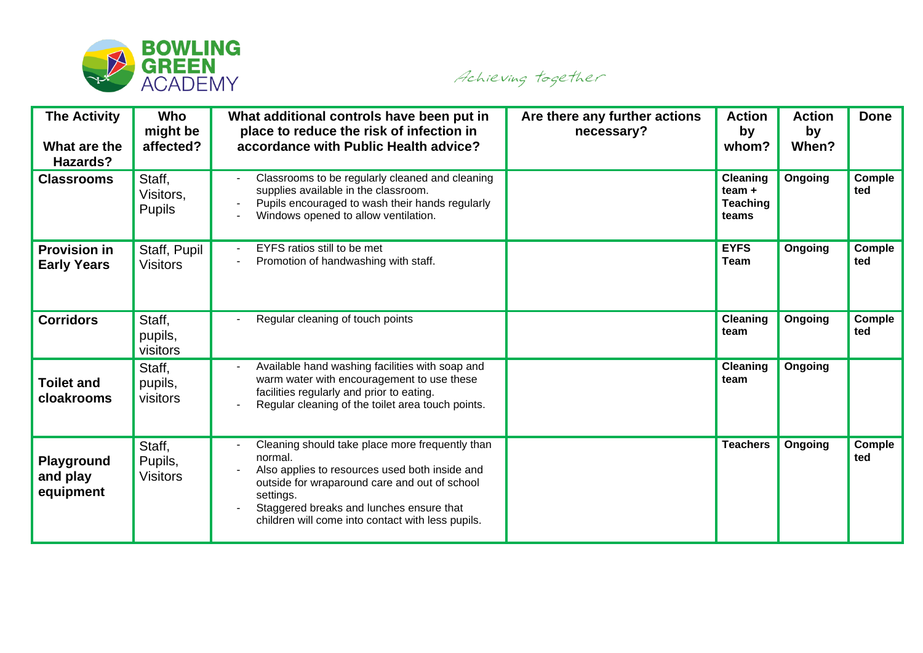

Achieving together

| <b>The Activity</b><br>What are the<br>Hazards? | Who<br>might be<br>affected?         | What additional controls have been put in<br>place to reduce the risk of infection in<br>accordance with Public Health advice?                                                                                                                                              | Are there any further actions<br>necessary? | <b>Action</b><br>by<br>whom?                            | <b>Action</b><br>by<br>When? | <b>Done</b>   |
|-------------------------------------------------|--------------------------------------|-----------------------------------------------------------------------------------------------------------------------------------------------------------------------------------------------------------------------------------------------------------------------------|---------------------------------------------|---------------------------------------------------------|------------------------------|---------------|
| <b>Classrooms</b>                               | Staff,<br>Visitors,<br><b>Pupils</b> | Classrooms to be regularly cleaned and cleaning<br>supplies available in the classroom.<br>Pupils encouraged to wash their hands regularly<br>Windows opened to allow ventilation.                                                                                          |                                             | <b>Cleaning</b><br>team $+$<br><b>Teaching</b><br>teams | Ongoing                      | Comple<br>ted |
| <b>Provision in</b><br><b>Early Years</b>       | Staff, Pupil<br><b>Visitors</b>      | EYFS ratios still to be met<br>Promotion of handwashing with staff.                                                                                                                                                                                                         |                                             | <b>EYFS</b><br>Team                                     | Ongoing                      | Comple<br>ted |
| <b>Corridors</b>                                | Staff,<br>pupils,<br>visitors        | Regular cleaning of touch points                                                                                                                                                                                                                                            |                                             | <b>Cleaning</b><br>team                                 | Ongoing                      | Comple<br>ted |
| <b>Toilet and</b><br>cloakrooms                 | Staff,<br>pupils,<br>visitors        | Available hand washing facilities with soap and<br>warm water with encouragement to use these<br>facilities regularly and prior to eating.<br>Regular cleaning of the toilet area touch points.                                                                             |                                             | <b>Cleaning</b><br>team                                 | Ongoing                      |               |
| Playground<br>and play<br>equipment             | Staff,<br>Pupils,<br><b>Visitors</b> | Cleaning should take place more frequently than<br>normal.<br>Also applies to resources used both inside and<br>outside for wraparound care and out of school<br>settings.<br>Staggered breaks and lunches ensure that<br>children will come into contact with less pupils. |                                             | <b>Teachers</b>                                         | Ongoing                      | Comple<br>ted |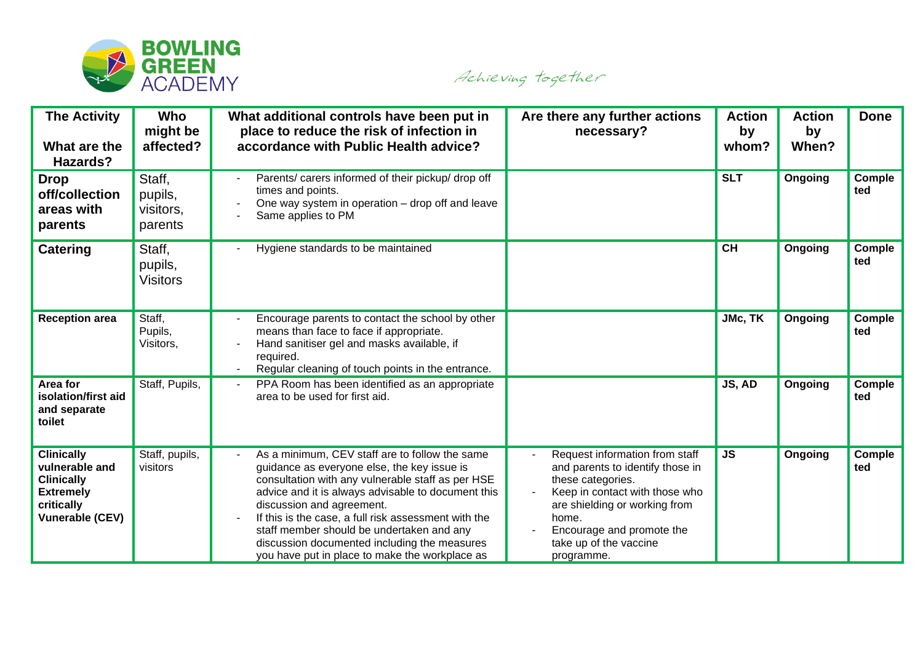

Achieving together

| <b>The Activity</b><br>What are the<br>Hazards?                                                                      | Who<br>might be<br>affected?              | What additional controls have been put in<br>place to reduce the risk of infection in<br>accordance with Public Health advice?                                                                                                                                                                                                                                                                                                               | Are there any further actions<br>necessary?                                                                                                                                                                                              | <b>Action</b><br>by<br>whom? | <b>Action</b><br>by<br>When? | <b>Done</b>   |
|----------------------------------------------------------------------------------------------------------------------|-------------------------------------------|----------------------------------------------------------------------------------------------------------------------------------------------------------------------------------------------------------------------------------------------------------------------------------------------------------------------------------------------------------------------------------------------------------------------------------------------|------------------------------------------------------------------------------------------------------------------------------------------------------------------------------------------------------------------------------------------|------------------------------|------------------------------|---------------|
| <b>Drop</b><br>off/collection<br>areas with<br>parents                                                               | Staff,<br>pupils,<br>visitors,<br>parents | Parents/ carers informed of their pickup/ drop off<br>times and points.<br>One way system in operation - drop off and leave<br>Same applies to PM                                                                                                                                                                                                                                                                                            |                                                                                                                                                                                                                                          | <b>SLT</b>                   | Ongoing                      | Comple<br>ted |
| <b>Catering</b>                                                                                                      | Staff,<br>pupils,<br><b>Visitors</b>      | Hygiene standards to be maintained                                                                                                                                                                                                                                                                                                                                                                                                           |                                                                                                                                                                                                                                          | <b>CH</b>                    | Ongoing                      | Comple<br>ted |
| <b>Reception area</b>                                                                                                | Staff,<br>Pupils,<br>Visitors,            | Encourage parents to contact the school by other<br>means than face to face if appropriate.<br>Hand sanitiser gel and masks available, if<br>required.<br>Regular cleaning of touch points in the entrance.                                                                                                                                                                                                                                  |                                                                                                                                                                                                                                          | JMc, TK                      | Ongoing                      | Comple<br>ted |
| Area for<br>isolation/first aid<br>and separate<br>toilet                                                            | Staff, Pupils,                            | PPA Room has been identified as an appropriate<br>area to be used for first aid.                                                                                                                                                                                                                                                                                                                                                             |                                                                                                                                                                                                                                          | JS, AD                       | Ongoing                      | Comple<br>ted |
| <b>Clinically</b><br>vulnerable and<br><b>Clinically</b><br><b>Extremely</b><br>critically<br><b>Vunerable (CEV)</b> | Staff, pupils,<br>visitors                | As a minimum, CEV staff are to follow the same<br>guidance as everyone else, the key issue is<br>consultation with any vulnerable staff as per HSE<br>advice and it is always advisable to document this<br>discussion and agreement.<br>If this is the case, a full risk assessment with the<br>staff member should be undertaken and any<br>discussion documented including the measures<br>you have put in place to make the workplace as | Request information from staff<br>and parents to identify those in<br>these categories.<br>Keep in contact with those who<br>are shielding or working from<br>home.<br>Encourage and promote the<br>take up of the vaccine<br>programme. | <b>JS</b>                    | Ongoing                      | Comple<br>ted |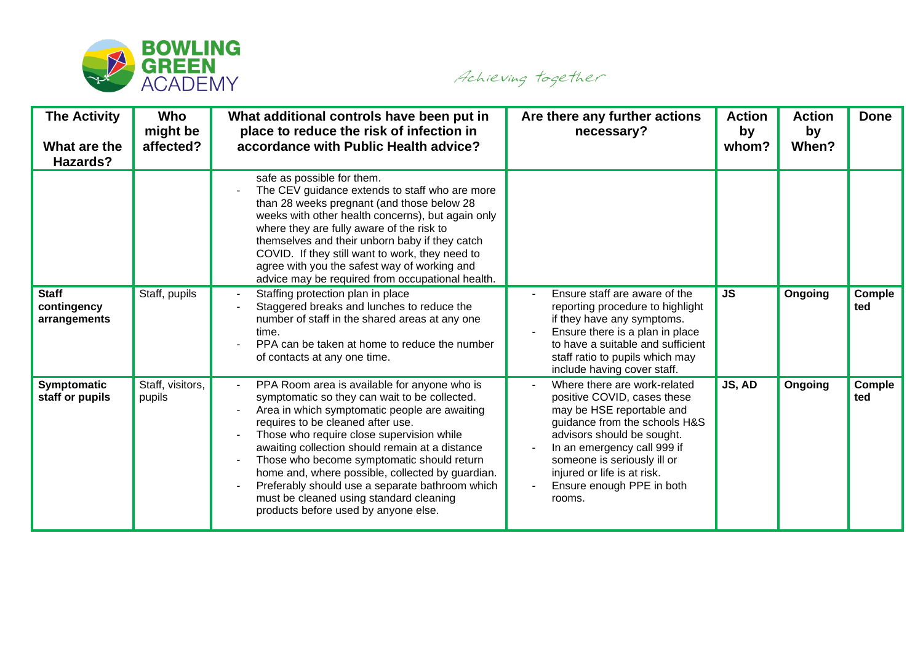

Achieving together

| <b>The Activity</b><br>What are the<br>Hazards? | <b>Who</b><br>might be<br>affected? | What additional controls have been put in<br>place to reduce the risk of infection in<br>accordance with Public Health advice?                                                                                                                                                                                                                                                                                                                                                                                              | Are there any further actions<br>necessary?                                                                                                                                                                                                                                                 | <b>Action</b><br>by<br>whom? | <b>Action</b><br>by<br>When? | <b>Done</b>   |
|-------------------------------------------------|-------------------------------------|-----------------------------------------------------------------------------------------------------------------------------------------------------------------------------------------------------------------------------------------------------------------------------------------------------------------------------------------------------------------------------------------------------------------------------------------------------------------------------------------------------------------------------|---------------------------------------------------------------------------------------------------------------------------------------------------------------------------------------------------------------------------------------------------------------------------------------------|------------------------------|------------------------------|---------------|
|                                                 |                                     | safe as possible for them.<br>The CEV guidance extends to staff who are more<br>than 28 weeks pregnant (and those below 28<br>weeks with other health concerns), but again only<br>where they are fully aware of the risk to<br>themselves and their unborn baby if they catch<br>COVID. If they still want to work, they need to<br>agree with you the safest way of working and<br>advice may be required from occupational health.                                                                                       |                                                                                                                                                                                                                                                                                             |                              |                              |               |
| <b>Staff</b><br>contingency<br>arrangements     | Staff, pupils                       | Staffing protection plan in place<br>Staggered breaks and lunches to reduce the<br>number of staff in the shared areas at any one<br>time.<br>PPA can be taken at home to reduce the number<br>of contacts at any one time.                                                                                                                                                                                                                                                                                                 | Ensure staff are aware of the<br>reporting procedure to highlight<br>if they have any symptoms.<br>Ensure there is a plan in place<br>to have a suitable and sufficient<br>staff ratio to pupils which may<br>include having cover staff.                                                   | <b>JS</b>                    | Ongoing                      | Comple<br>ted |
| Symptomatic<br>staff or pupils                  | Staff, visitors,<br>pupils          | PPA Room area is available for anyone who is<br>symptomatic so they can wait to be collected.<br>Area in which symptomatic people are awaiting<br>requires to be cleaned after use.<br>Those who require close supervision while<br>awaiting collection should remain at a distance<br>Those who become symptomatic should return<br>home and, where possible, collected by guardian.<br>Preferably should use a separate bathroom which<br>must be cleaned using standard cleaning<br>products before used by anyone else. | Where there are work-related<br>positive COVID, cases these<br>may be HSE reportable and<br>guidance from the schools H&S<br>advisors should be sought.<br>In an emergency call 999 if<br>someone is seriously ill or<br>injured or life is at risk.<br>Ensure enough PPE in both<br>rooms. | JS, AD                       | Ongoing                      | Comple<br>ted |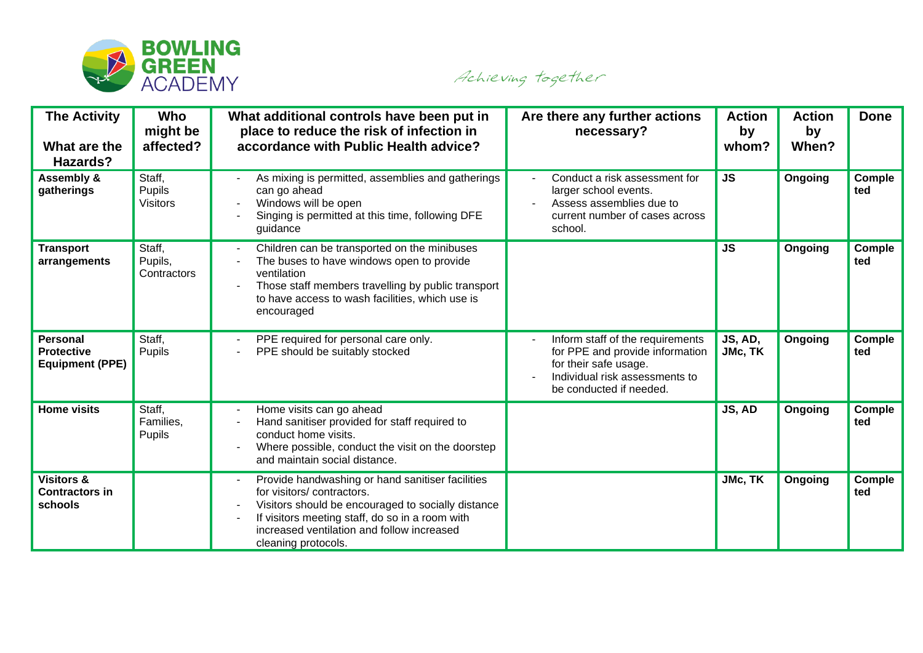

Achieving together

| <b>The Activity</b><br>What are the<br>Hazards?                | Who<br>might be<br>affected?        | What additional controls have been put in<br>place to reduce the risk of infection in<br>accordance with Public Health advice?                                                                                                                              | Are there any further actions<br>necessary?                                                                                                               | <b>Action</b><br>by<br>whom? | <b>Action</b><br>by<br>When? | <b>Done</b>   |
|----------------------------------------------------------------|-------------------------------------|-------------------------------------------------------------------------------------------------------------------------------------------------------------------------------------------------------------------------------------------------------------|-----------------------------------------------------------------------------------------------------------------------------------------------------------|------------------------------|------------------------------|---------------|
| Assembly &<br>gatherings                                       | Staff,<br>Pupils<br><b>Visitors</b> | As mixing is permitted, assemblies and gatherings<br>can go ahead<br>Windows will be open<br>Singing is permitted at this time, following DFE<br>guidance                                                                                                   | Conduct a risk assessment for<br>larger school events.<br>Assess assemblies due to<br>current number of cases across<br>school.                           | <b>JS</b>                    | Ongoing                      | Comple<br>ted |
| <b>Transport</b><br>arrangements                               | Staff,<br>Pupils,<br>Contractors    | Children can be transported on the minibuses<br>The buses to have windows open to provide<br>ventilation<br>Those staff members travelling by public transport<br>to have access to wash facilities, which use is<br>encouraged                             |                                                                                                                                                           | <b>JS</b>                    | Ongoing                      | Comple<br>ted |
| <b>Personal</b><br><b>Protective</b><br><b>Equipment (PPE)</b> | Staff,<br>Pupils                    | PPE required for personal care only.<br>PPE should be suitably stocked                                                                                                                                                                                      | Inform staff of the requirements<br>for PPE and provide information<br>for their safe usage.<br>Individual risk assessments to<br>be conducted if needed. | JS, AD,<br>JMc, TK           | Ongoing                      | Comple<br>ted |
| <b>Home visits</b>                                             | Staff,<br>Families,<br>Pupils       | Home visits can go ahead<br>Hand sanitiser provided for staff required to<br>conduct home visits.<br>Where possible, conduct the visit on the doorstep<br>and maintain social distance.                                                                     |                                                                                                                                                           | JS, AD                       | Ongoing                      | Comple<br>ted |
| <b>Visitors &amp;</b><br><b>Contractors in</b><br>schools      |                                     | Provide handwashing or hand sanitiser facilities<br>for visitors/contractors.<br>Visitors should be encouraged to socially distance<br>If visitors meeting staff, do so in a room with<br>increased ventilation and follow increased<br>cleaning protocols. |                                                                                                                                                           | JMc, TK                      | Ongoing                      | Comple<br>ted |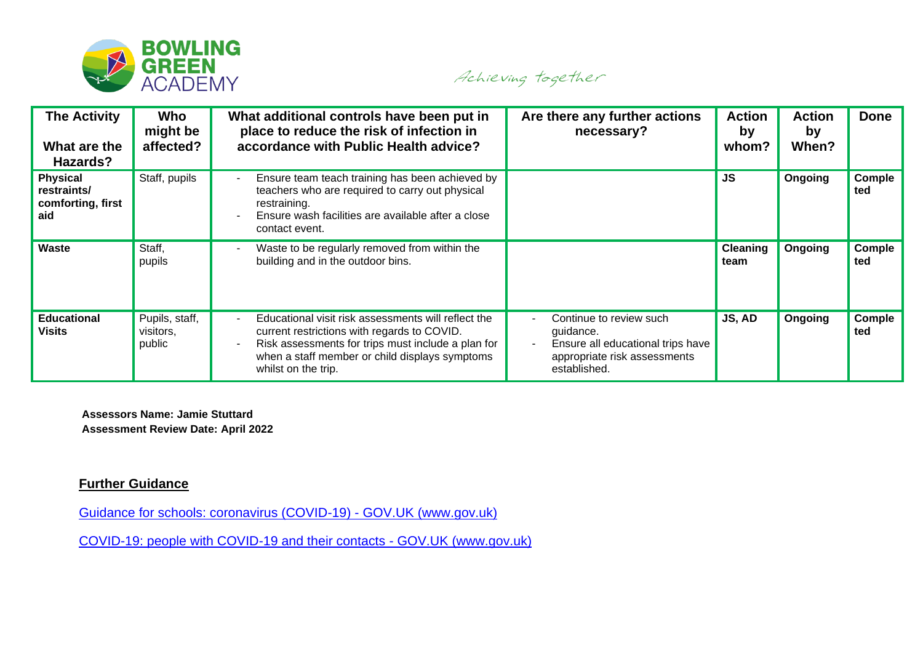

Achieving together

| <b>The Activity</b><br>What are the<br>Hazards?            | Who<br>might be<br>affected?          | What additional controls have been put in<br>place to reduce the risk of infection in<br>accordance with Public Health advice?                                                                                                    | Are there any further actions<br>necessary?                                                                               | <b>Action</b><br>by<br>whom? | <b>Action</b><br>by<br>When? | <b>Done</b>   |
|------------------------------------------------------------|---------------------------------------|-----------------------------------------------------------------------------------------------------------------------------------------------------------------------------------------------------------------------------------|---------------------------------------------------------------------------------------------------------------------------|------------------------------|------------------------------|---------------|
| <b>Physical</b><br>restraints/<br>comforting, first<br>aid | Staff, pupils                         | Ensure team teach training has been achieved by<br>teachers who are required to carry out physical<br>restraining.<br>Ensure wash facilities are available after a close<br>contact event.                                        |                                                                                                                           | <b>JS</b>                    | Ongoing                      | Comple<br>ted |
| <b>Waste</b>                                               | Staff,<br>pupils                      | Waste to be regularly removed from within the<br>building and in the outdoor bins.                                                                                                                                                |                                                                                                                           | <b>Cleaning</b><br>team      | Ongoing                      | Comple<br>ted |
| <b>Educational</b><br><b>Visits</b>                        | Pupils, staff,<br>visitors,<br>public | Educational visit risk assessments will reflect the<br>current restrictions with regards to COVID.<br>Risk assessments for trips must include a plan for<br>when a staff member or child displays symptoms<br>whilst on the trip. | Continue to review such<br>guidance.<br>Ensure all educational trips have<br>appropriate risk assessments<br>established. | JS, AD                       | Ongoing                      | Comple<br>ted |

**Assessors Name: Jamie Stuttard Assessment Review Date: April 2022**

## **Further Guidance**

[Guidance for schools: coronavirus \(COVID-19\) -](https://www.gov.uk/government/collections/guidance-for-schools-coronavirus-covid-19) GOV.UK (www.gov.uk)

[COVID-19: people with COVID-19 and their contacts -](https://www.gov.uk/government/publications/covid-19-people-with-covid-19-and-their-contacts) GOV.UK (www.gov.uk)